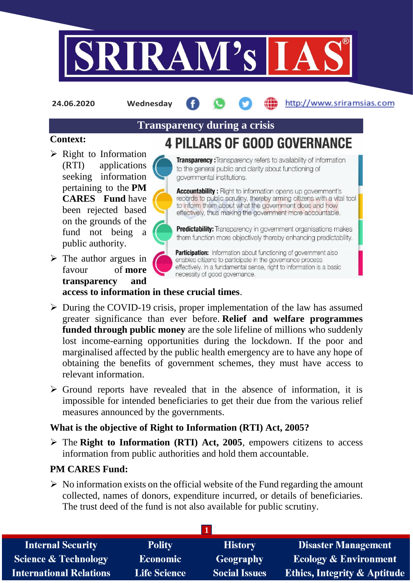

**24.06.2020 Wednesday**

# http://www.sriramsias.com

# **Transparency during a crisis**

## **Context:**

- $\triangleright$  Right to Information (RTI) applications seeking information pertaining to the **PM CARES Fund** have been rejected based on the grounds of the fund not being a public authority.
- $\triangleright$  The author argues in favour of **more transparency and**



**4 PILLARS OF GOOD GOVERNANCE** Transparency: Transparency refers to availability of information

to the general public and clarity about functioning of governmental institutions.

**Accountability:** Right to information opens up government's records to public scrutiny, thereby arming citizens with a vital tool to inform them about what the government does and how effectively, thus making the government more accountable.

**Predictability:** Transparency in government organisations makes them function more objectively thereby enhancing predictability.

Participation: Information about functioning of government also enables citizens to participate in the governance process effectively. In a fundamental sense, right to information is a basic necessity of good governance.

#### **access to information in these crucial times**.

- $\triangleright$  During the COVID-19 crisis, proper implementation of the law has assumed greater significance than ever before. **Relief and welfare programmes funded through public money** are the sole lifeline of millions who suddenly lost income-earning opportunities during the lockdown. If the poor and marginalised affected by the public health emergency are to have any hope of obtaining the benefits of government schemes, they must have access to relevant information.
- $\triangleright$  Ground reports have revealed that in the absence of information, it is impossible for intended beneficiaries to get their due from the various relief measures announced by the governments.

# **What is the objective of Right to Information (RTI) Act, 2005?**

 The **Right to Information (RTI) Act, 2005**, empowers citizens to access information from public authorities and hold them accountable.

# **PM CARES Fund:**

 $\triangleright$  No information exists on the official website of the Fund regarding the amount collected, names of donors, expenditure incurred, or details of beneficiaries. The trust deed of the fund is not also available for public scrutiny.

| <b>Internal Security</b>        | <b>Polity</b>       | <b>History</b>       | <b>Disaster Management</b>              |
|---------------------------------|---------------------|----------------------|-----------------------------------------|
| <b>Science &amp; Technology</b> | <b>Economic</b>     | Geography            | <b>Ecology &amp; Environment</b>        |
| <b>International Relations</b>  | <b>Life Science</b> | <b>Social Issues</b> | <b>Ethics, Integrity &amp; Aptitude</b> |